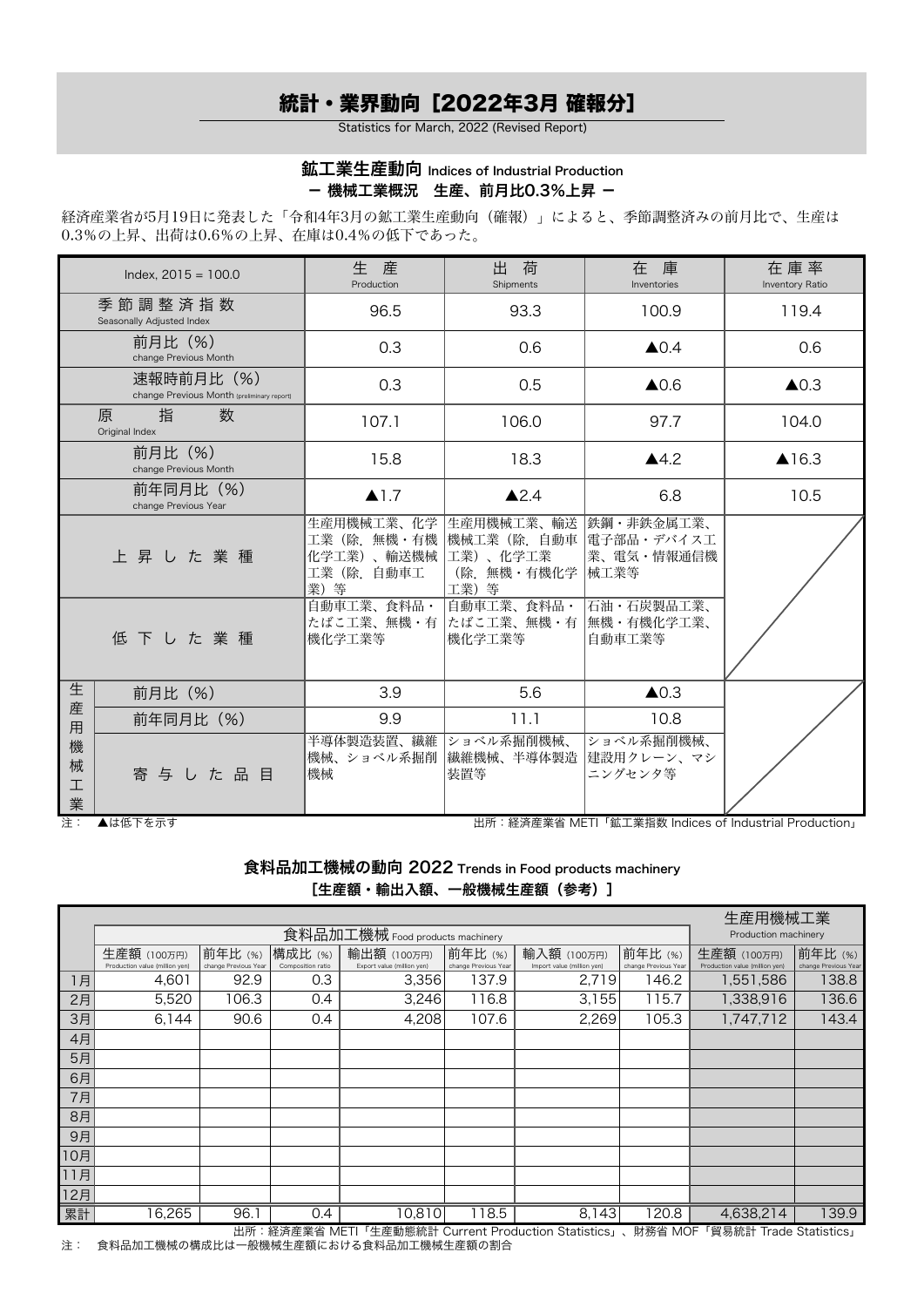## 統計・業界動向[2022年3月 確報分]

Statistics for March, 2022 (Revised Report)

## 鉱工業生産動向 Indices of Industrial Production - 機械工業概況 生産、前月比0.3%上昇 -

経済産業省が5月19日に発表した「令和4年3月の鉱工業生産動向(確報)」によると、季節調整済みの前月比で、生産は 0.3%の上昇、出荷は0.6%の上昇、在庫は0.4%の低下であった。

|                  | Index, $2015 = 100.0$                                    | 生<br>庠<br>Production                                         | 出<br>荷<br>Shipments                                          | 在 庫<br>Inventories                               | 在庫率<br>Inventory Ratio |  |
|------------------|----------------------------------------------------------|--------------------------------------------------------------|--------------------------------------------------------------|--------------------------------------------------|------------------------|--|
|                  | 季節調整済指数<br>Seasonally Adjusted Index                     | 96.5                                                         | 93.3                                                         | 100.9                                            | 119.4                  |  |
|                  | 前月比 (%)<br>change Previous Month                         | 0.3                                                          | 0.6                                                          | $\triangle 0.4$                                  | 0.6                    |  |
|                  | 速報時前月比 (%)<br>change Previous Month (preliminary report) | 0.3                                                          | 0.5                                                          | $\triangle$ 0.6                                  | $\triangle$ 0.3        |  |
|                  | 数<br>指<br>原<br>Original Index                            | 107.1                                                        | 106.0                                                        | 97.7                                             | 104.0                  |  |
|                  | 前月比(%)<br>change Previous Month                          | 15.8                                                         | 18.3                                                         | $\blacktriangle$ 4.2                             | ▲16.3                  |  |
|                  | 前年同月比 (%)<br>change Previous Year                        | $\blacktriangle$ 1.7                                         | $\triangle$ 2.4                                              | 6.8                                              | 10.5                   |  |
|                  | 上昇した業種                                                   | 生産用機械工業、化学<br>工業(除. 無機・有機<br>化学工業)、輸送機械<br>工業(除.自動車工<br>業) 等 | 生産用機械工業、輸送<br> 機械工業(除.自動車<br>工業)、化学工業<br>(除.無機・有機化学<br>工業) 等 | 鉄鋼・非鉄金属工業、<br> 電子部品・デバイス工<br>業、電気・情報通信機<br> 械工業等 |                        |  |
|                  | 低下した業種                                                   | 自動車工業、食料品・<br>たばこ工業、無機・有<br>機化学工業等                           | 自動車工業、食料品・<br> たばこ工業、無機・有<br>機化学工業等                          | 石油・石炭製品工業、<br> 無機・有機化学工業、<br>自動車工業等              |                        |  |
| 生                | 前月比 (%)                                                  | 3.9                                                          | 5.6                                                          | $\triangle$ 0.3                                  |                        |  |
| 産<br>用           | 前年同月比 (%)                                                | 9.9                                                          | 11.1                                                         | 10.8                                             |                        |  |
| 機<br>械<br>工<br>業 | 寄与した品目                                                   | 半導体製造装置、繊維<br>機械、ショベル系掘削<br>機械                               | ショベル系掘削機械、<br> 繊維機械、半導体製造<br>装置等                             | ショベル系掘削機械、<br> 建設用クレーン、マシ<br>ニングセンタ等             |                        |  |

注: ▲は低下を示す 出所:経済産業省 METI「鉱工業指数 Indices of Industrial Production」

食料品加工機械の動向 2022 Trends in Food products machinery [生産額・輸出入額、一般機械生産額 (参考)]

|     |                                | 生産用機械工業              |                   |                            |                      |                            |                      |                                |                      |
|-----|--------------------------------|----------------------|-------------------|----------------------------|----------------------|----------------------------|----------------------|--------------------------------|----------------------|
|     |                                | Production machinery |                   |                            |                      |                            |                      |                                |                      |
|     | 生産額 (100万円)                    | 前年比(%)               | 構成比 (%)           | 輸出額 (100万円)                | 前年比(%)               | 輸入額 (100万円)                | 前年比(%)               | 生産額 (100万円)                    | 前年比(%)               |
|     | Production value (million yen) | change Previous Year | Composition ratio | Export value (million yen) | change Previous Year | Import value (million yen) | change Previous Year | Production value (million yen) | change Previous Year |
| 1月  | 4,601                          | 92.9                 | 0.3               | 3,356                      | 137.9                | 2,719                      | 146.2                | 1,551,586                      | 138.8                |
| 2月  | 5,520                          | 106.3                | 0.4               | 3,246                      | 116.8                | 3,155                      | 115.7                | 1,338,916                      | 136.6                |
| 3月  | 6,144                          | 90.6                 | 0.4               | 4,208                      | 107.6                | 2,269                      | 105.3                | 1,747,712                      | 143.4                |
| 4月  |                                |                      |                   |                            |                      |                            |                      |                                |                      |
| 5月  |                                |                      |                   |                            |                      |                            |                      |                                |                      |
| 6月  |                                |                      |                   |                            |                      |                            |                      |                                |                      |
| 7月  |                                |                      |                   |                            |                      |                            |                      |                                |                      |
| 8月  |                                |                      |                   |                            |                      |                            |                      |                                |                      |
| 9月  |                                |                      |                   |                            |                      |                            |                      |                                |                      |
| 10月 |                                |                      |                   |                            |                      |                            |                      |                                |                      |
| 11月 |                                |                      |                   |                            |                      |                            |                      |                                |                      |
| 12月 |                                |                      |                   |                            |                      |                            |                      |                                |                      |
| 累計  | 16,265                         | 96.1                 | 0.4               | 10,810                     | 18.5                 | 8,143                      | 120.8                | 4,638,214                      | 139.9                |

出所:経済産業省 METI「生産動態統計 Current Production Statistics」、財務省 MOF「貿易統計 Trade Statistics」 注: 食料品加工機械の構成比は一般機械生産額における食料品加工機械生産額の割合